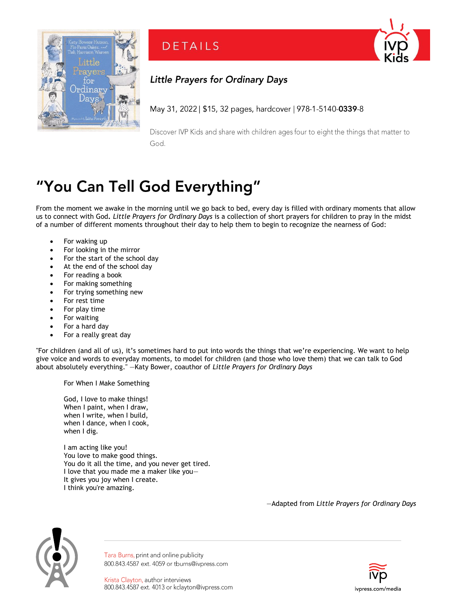

**DETAILS** 

## **Little Prayers for Ordinary Days**

May 31, 2022 | \$15, 32 pages, hardcover | 978-1-5140-0339-8

Discover IVP Kids and share with children ages four to eight the things that matter to God.

## "You Can Tell God Everything"

From the moment we awake in the morning until we go back to bed, every day is filled with ordinary moments that allow us to connect with God**.** *Little Prayers for Ordinary Days* is a collection of short prayers for children to pray in the midst of a number of different moments throughout their day to help them to begin to recognize the nearness of God:

- For waking up
- For looking in the mirror
- For the start of the school day
- At the end of the school day
- For reading a book
- For making something
- For trying something new
- For rest time
- For play time
- For waiting
- For a hard day
- For a really great day

"For children (and all of us), it's sometimes hard to put into words the things that we're experiencing. We want to help give voice and words to everyday moments, to model for children (and those who love them) that we can talk to God about absolutely everything." —Katy Bower, coauthor of *Little Prayers for Ordinary Days*

For When I Make Something

God, I love to make things! When I paint, when I draw, when I write, when I build, when I dance, when I cook, when I dig.

I am acting like you! You love to make good things. You do it all the time, and you never get tired. I love that you made me a maker like you— It gives you joy when I create. I think you're amazing.

—Adapted from *Little Prayers for Ordinary Days*



Tara Burns, print and online publicity 800.843.4587 ext. 4059 or tburns@ivpress.com

Krista Clayton, author interviews 800.843.4587 ext. 4013 or kclayton@ivpress.com